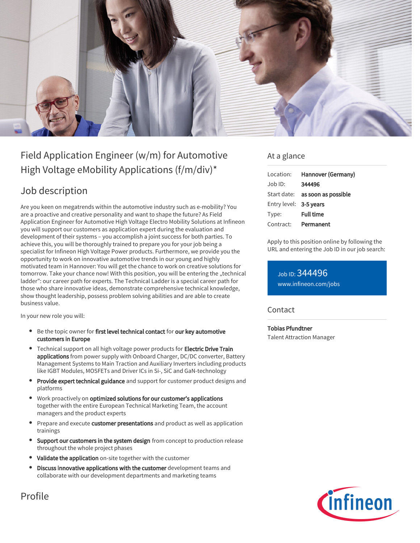

# Field Application Engineer (w/m) for Automotive High Voltage eMobility Applications (f/m/div)\*

# Job description

Are you keen on megatrends within the automotive industry such as e-mobility? You are a proactive and creative personality and want to shape the future? As Field Application Engineer for Automotive High Voltage Electro Mobility Solutions at Infineon you will support our customers as application expert during the evaluation and development of their systems – you accomplish a joint success for both parties. To achieve this, you will be thoroughly trained to prepare you for your job being a specialist for Infineon High Voltage Power products. Furthermore, we provide you the opportunity to work on innovative automotive trends in our young and highly motivated team in Hannover: You will get the chance to work on creative solutions for tomorrow. Take your chance now! With this position, you will be entering the "technical ladder": our career path for experts. The Technical Ladder is a special career path for those who share innovative ideas, demonstrate comprehensive technical knowledge, show thought leadership, possess problem solving abilities and are able to create business value.

In your new role you will:

- Be the topic owner for first level technical contact for our key automotive customers in Europe
- Technical support on all high voltage power products for **Electric Drive Train** applications from power supply with Onboard Charger, DC/DC converter, Battery Management Systems to Main Traction and Auxiliary Inverters including products like IGBT Modules, MOSFETs and Driver ICs in Si-, SiC and GaN-technology
- Provide expert technical guidance and support for customer product designs and platforms
- Work proactively on optimized solutions for our customer's applications together with the entire European Technical Marketing Team, the account managers and the product experts
- **Prepare and execute customer presentations** and product as well as application trainings
- Support our customers in the system design from concept to production release throughout the whole project phases
- Validate the application on-site together with the customer
- Discuss innovative applications with the customer development teams and collaborate with our development departments and marketing teams

### At a glance

| Location:              | Hannover (Germany)              |
|------------------------|---------------------------------|
| $Joh$ ID:              | 344496                          |
|                        | Start date: as soon as possible |
| Entry level: 3-5 years |                                 |
| Type:                  | <b>Full time</b>                |
| Contract:              | Permanent                       |

Apply to this position online by following the URL and entering the Job ID in our job search:

Job ID: 344496 [www.infineon.com/jobs](https://www.infineon.com/jobs)

### **Contact**

Tobias Pfundtner Talent Attraction Manager



Profile